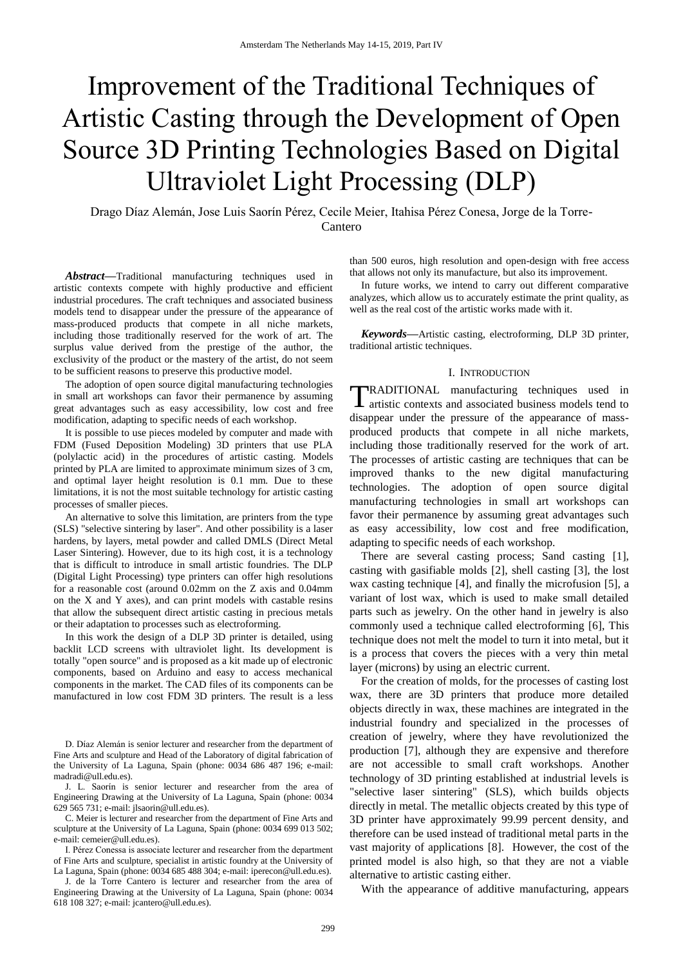# Improvement of the Traditional Techniques of Artistic Casting through the Development of Open Source 3D Printing Technologies Based on Digital Ultraviolet Light Processing (DLP)

Drago Díaz Alemán, Jose Luis Saorín Pérez, Cecile Meier, Itahisa Pérez Conesa, Jorge de la Torre-Cantero

*Abstract***—**Traditional manufacturing techniques used in artistic contexts compete with highly productive and efficient industrial procedures. The craft techniques and associated business models tend to disappear under the pressure of the appearance of mass-produced products that compete in all niche markets, including those traditionally reserved for the work of art. The surplus value derived from the prestige of the author, the exclusivity of the product or the mastery of the artist, do not seem to be sufficient reasons to preserve this productive model.

The adoption of open source digital manufacturing technologies in small art workshops can favor their permanence by assuming great advantages such as easy accessibility, low cost and free modification, adapting to specific needs of each workshop.

It is possible to use pieces modeled by computer and made with FDM (Fused Deposition Modeling) 3D printers that use PLA (polylactic acid) in the procedures of artistic casting. Models printed by PLA are limited to approximate minimum sizes of 3 cm, and optimal layer height resolution is 0.1 mm. Due to these limitations, it is not the most suitable technology for artistic casting processes of smaller pieces.

An alternative to solve this limitation, are printers from the type (SLS) "selective sintering by laser". And other possibility is a laser hardens, by layers, metal powder and called DMLS (Direct Metal Laser Sintering). However, due to its high cost, it is a technology that is difficult to introduce in small artistic foundries. The DLP (Digital Light Processing) type printers can offer high resolutions for a reasonable cost (around 0.02mm on the Z axis and 0.04mm on the X and Y axes), and can print models with castable resins that allow the subsequent direct artistic casting in precious metals or their adaptation to processes such as electroforming.

In this work the design of a DLP 3D printer is detailed, using backlit LCD screens with ultraviolet light. Its development is totally "open source" and is proposed as a kit made up of electronic components, based on Arduino and easy to access mechanical components in the market. The CAD files of its components can be manufactured in low cost FDM 3D printers. The result is a less

D. Díaz Alemán is senior lecturer and researcher from the department of Fine Arts and sculpture and Head of the Laboratory of digital fabrication of the University of La Laguna, Spain (phone: 0034 686 487 196; e-mail: madradi@ull.edu.es).

J. L. Saorín is senior lecturer and researcher from the area of Engineering Drawing at the University of La Laguna, Spain (phone: 0034 629 565 731; e-mail: jlsaorin@ull.edu.es).

C. Meier is lecturer and researcher from the department of Fine Arts and sculpture at the University of La Laguna, Spain (phone: 0034 699 013 502; e-mail: cemeier@ull.edu.es).

I. Pérez Conessa is associate lecturer and researcher from the department of Fine Arts and sculpture, specialist in artistic foundry at the University of La Laguna, Spain (phone: 0034 685 488 304; e-mail: iperecon@ull.edu.es).

J. de la Torre Cantero is lecturer and researcher from the area of Engineering Drawing at the University of La Laguna, Spain (phone: 0034 618 108 327; e-mail: jcantero@ull.edu.es).

than 500 euros, high resolution and open-design with free access that allows not only its manufacture, but also its improvement.

In future works, we intend to carry out different comparative analyzes, which allow us to accurately estimate the print quality, as well as the real cost of the artistic works made with it.

*Keywords***—**Artistic casting, electroforming, DLP 3D printer, traditional artistic techniques.

## I. INTRODUCTION

RADITIONAL manufacturing techniques used in TRADITIONAL manufacturing techniques used in artistic contexts and associated business models tend to disappear under the pressure of the appearance of massproduced products that compete in all niche markets, including those traditionally reserved for the work of art. The processes of artistic casting are techniques that can be improved thanks to the new digital manufacturing technologies. The adoption of open source digital manufacturing technologies in small art workshops can favor their permanence by assuming great advantages such as easy accessibility, low cost and free modification, adapting to specific needs of each workshop.

There are several casting process; Sand casting [1], casting with gasifiable molds [2], shell casting [3], the lost wax casting technique [4], and finally the microfusion [5], a variant of lost wax, which is used to make small detailed parts such as jewelry. On the other hand in jewelry is also commonly used a technique called electroforming [6], This technique does not melt the model to turn it into metal, but it is a process that covers the pieces with a very thin metal layer (microns) by using an electric current.

For the creation of molds, for the processes of casting lost wax, there are 3D printers that produce more detailed objects directly in wax, these machines are integrated in the industrial foundry and specialized in the processes of creation of jewelry, where they have revolutionized the production [7], although they are expensive and therefore are not accessible to small craft workshops. Another technology of 3D printing established at industrial levels is "selective laser sintering" (SLS), which builds objects directly in metal. The metallic objects created by this type of 3D printer have approximately 99.99 percent density, and therefore can be used instead of traditional metal parts in the vast majority of applications [8]. However, the cost of the printed model is also high, so that they are not a viable alternative to artistic casting either.

With the appearance of additive manufacturing, appears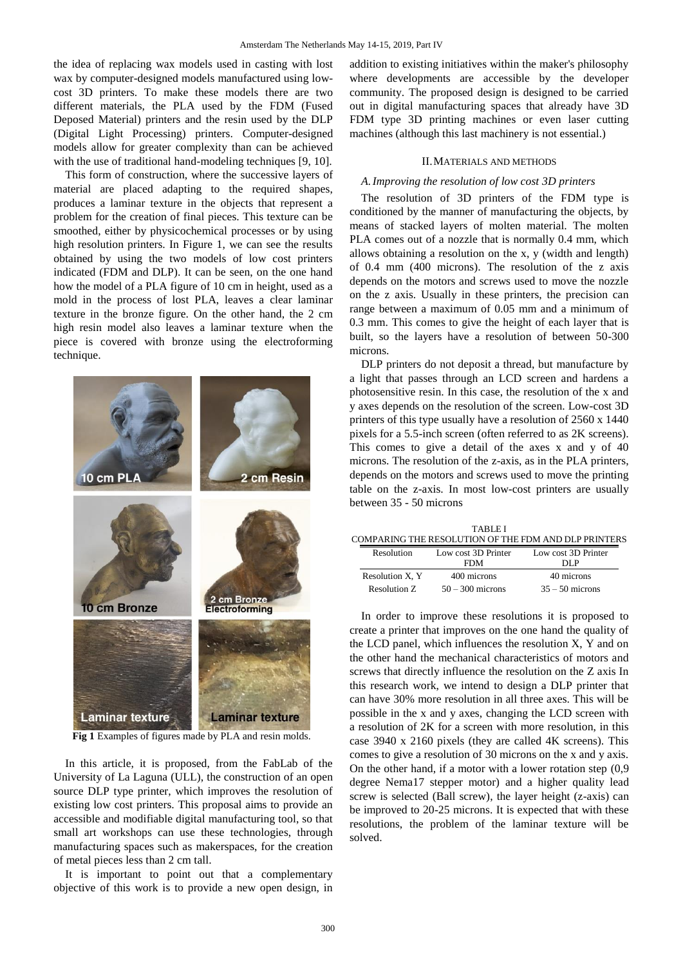the idea of replacing wax models used in casting with lost wax by computer-designed models manufactured using lowcost 3D printers. To make these models there are two different materials, the PLA used by the FDM (Fused Deposed Material) printers and the resin used by the DLP (Digital Light Processing) printers. Computer-designed models allow for greater complexity than can be achieved with the use of traditional hand-modeling techniques [9, 10].

This form of construction, where the successive layers of material are placed adapting to the required shapes, produces a laminar texture in the objects that represent a problem for the creation of final pieces. This texture can be smoothed, either by physicochemical processes or by using high resolution printers. In Figure 1, we can see the results obtained by using the two models of low cost printers indicated (FDM and DLP). It can be seen, on the one hand how the model of a PLA figure of 10 cm in height, used as a mold in the process of lost PLA, leaves a clear laminar texture in the bronze figure. On the other hand, the 2 cm high resin model also leaves a laminar texture when the piece is covered with bronze using the electroforming technique.



**Fig 1** Examples of figures made by PLA and resin molds.

In this article, it is proposed, from the FabLab of the University of La Laguna (ULL), the construction of an open source DLP type printer, which improves the resolution of existing low cost printers. This proposal aims to provide an accessible and modifiable digital manufacturing tool, so that small art workshops can use these technologies, through manufacturing spaces such as makerspaces, for the creation of metal pieces less than 2 cm tall.

It is important to point out that a complementary objective of this work is to provide a new open design, in

addition to existing initiatives within the maker's philosophy where developments are accessible by the developer community. The proposed design is designed to be carried out in digital manufacturing spaces that already have 3D FDM type 3D printing machines or even laser cutting machines (although this last machinery is not essential.)

#### II.MATERIALS AND METHODS

#### *A.Improving the resolution of low cost 3D printers*

The resolution of 3D printers of the FDM type is conditioned by the manner of manufacturing the objects, by means of stacked layers of molten material. The molten PLA comes out of a nozzle that is normally 0.4 mm, which allows obtaining a resolution on the x, y (width and length) of 0.4 mm (400 microns). The resolution of the z axis depends on the motors and screws used to move the nozzle on the z axis. Usually in these printers, the precision can range between a maximum of 0.05 mm and a minimum of 0.3 mm. This comes to give the height of each layer that is built, so the layers have a resolution of between 50-300 microns.

DLP printers do not deposit a thread, but manufacture by a light that passes through an LCD screen and hardens a photosensitive resin. In this case, the resolution of the x and y axes depends on the resolution of the screen. Low-cost 3D printers of this type usually have a resolution of 2560 x 1440 pixels for a 5.5-inch screen (often referred to as 2K screens). This comes to give a detail of the axes x and y of 40 microns. The resolution of the z-axis, as in the PLA printers, depends on the motors and screws used to move the printing table on the z-axis. In most low-cost printers are usually between 35 - 50 microns

| <b>TABLE I</b> |                                                      |                     |                     |  |
|----------------|------------------------------------------------------|---------------------|---------------------|--|
|                | COMPARING THE RESOLUTION OF THE FDM AND DLP PRINTERS |                     |                     |  |
|                | <b>Resolution</b>                                    | Low cost 3D Printer | Low cost 3D Printer |  |
|                |                                                      | <b>FDM</b>          | DI P                |  |
|                | Resolution X, Y                                      | 400 microns         | 40 microns          |  |
|                | Resolution Z.                                        | $50 - 300$ microns  | $35 - 50$ microns   |  |

In order to improve these resolutions it is proposed to create a printer that improves on the one hand the quality of the LCD panel, which influences the resolution X, Y and on the other hand the mechanical characteristics of motors and screws that directly influence the resolution on the Z axis In this research work, we intend to design a DLP printer that can have 30% more resolution in all three axes. This will be possible in the x and y axes, changing the LCD screen with a resolution of 2K for a screen with more resolution, in this case 3940 x 2160 pixels (they are called 4K screens). This comes to give a resolution of 30 microns on the x and y axis. On the other hand, if a motor with a lower rotation step (0,9 degree Nema17 stepper motor) and a higher quality lead screw is selected (Ball screw), the layer height (z-axis) can be improved to 20-25 microns. It is expected that with these resolutions, the problem of the laminar texture will be solved.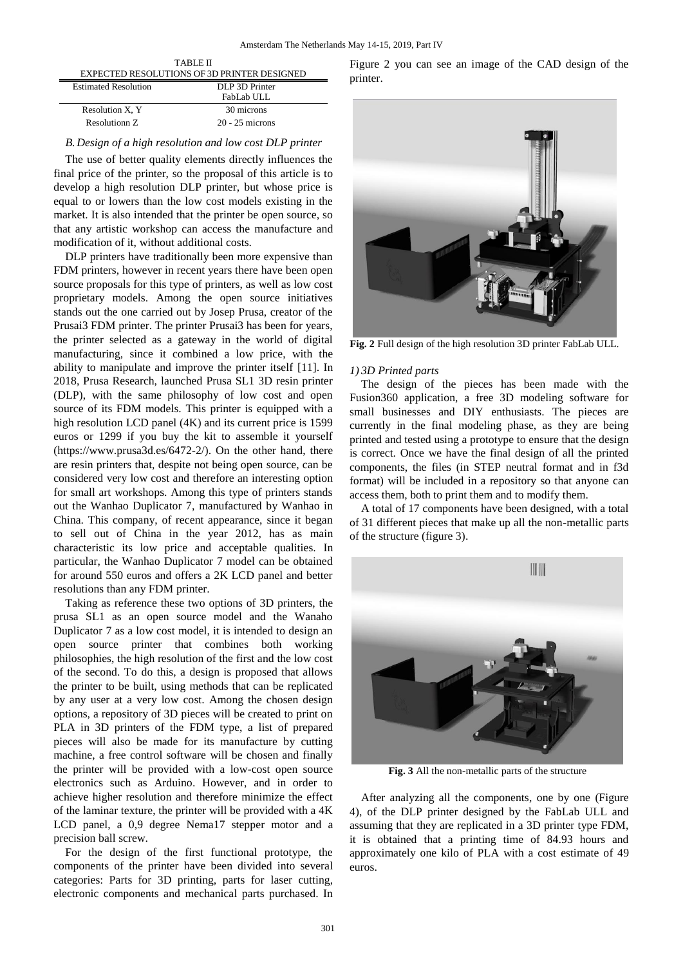| <b>TABLE II</b>                                    |                   |  |
|----------------------------------------------------|-------------------|--|
| <b>EXPECTED RESOLUTIONS OF 3D PRINTER DESIGNED</b> |                   |  |
| <b>Estimated Resolution</b>                        | DLP 3D Printer    |  |
|                                                    | FabLab ULL        |  |
| Resolution X.Y                                     | 30 microns        |  |
| Resolutionn Z                                      | $20 - 25$ microns |  |
|                                                    |                   |  |

#### *B.Design of a high resolution and low cost DLP printer*

The use of better quality elements directly influences the final price of the printer, so the proposal of this article is to develop a high resolution DLP printer, but whose price is equal to or lowers than the low cost models existing in the market. It is also intended that the printer be open source, so that any artistic workshop can access the manufacture and modification of it, without additional costs.

DLP printers have traditionally been more expensive than FDM printers, however in recent years there have been open source proposals for this type of printers, as well as low cost proprietary models. Among the open source initiatives stands out the one carried out by Josep Prusa, creator of the Prusai3 FDM printer. The printer Prusai3 has been for years, the printer selected as a gateway in the world of digital manufacturing, since it combined a low price, with the ability to manipulate and improve the printer itself [11]. In 2018, Prusa Research, launched Prusa SL1 3D resin printer (DLP), with the same philosophy of low cost and open source of its FDM models. This printer is equipped with a high resolution LCD panel (4K) and its current price is 1599 euros or 1299 if you buy the kit to assemble it yourself (https://www.prusa3d.es/6472-2/). On the other hand, there are resin printers that, despite not being open source, can be considered very low cost and therefore an interesting option for small art workshops. Among this type of printers stands out the Wanhao Duplicator 7, manufactured by Wanhao in China. This company, of recent appearance, since it began to sell out of China in the year 2012, has as main characteristic its low price and acceptable qualities. In particular, the Wanhao Duplicator 7 model can be obtained for around 550 euros and offers a 2K LCD panel and better resolutions than any FDM printer.

Taking as reference these two options of 3D printers, the prusa SL1 as an open source model and the Wanaho Duplicator 7 as a low cost model, it is intended to design an open source printer that combines both working philosophies, the high resolution of the first and the low cost of the second. To do this, a design is proposed that allows the printer to be built, using methods that can be replicated by any user at a very low cost. Among the chosen design options, a repository of 3D pieces will be created to print on PLA in 3D printers of the FDM type, a list of prepared pieces will also be made for its manufacture by cutting machine, a free control software will be chosen and finally the printer will be provided with a low-cost open source electronics such as Arduino. However, and in order to achieve higher resolution and therefore minimize the effect of the laminar texture, the printer will be provided with a 4K LCD panel, a 0,9 degree Nema17 stepper motor and a precision ball screw.

For the design of the first functional prototype, the components of the printer have been divided into several categories: Parts for 3D printing, parts for laser cutting, electronic components and mechanical parts purchased. In

Figure 2 you can see an image of the CAD design of the printer.



**Fig. 2** Full design of the high resolution 3D printer FabLab ULL.

### *1) 3D Printed parts*

The design of the pieces has been made with the Fusion360 application, a free 3D modeling software for small businesses and DIY enthusiasts. The pieces are currently in the final modeling phase, as they are being printed and tested using a prototype to ensure that the design is correct. Once we have the final design of all the printed components, the files (in STEP neutral format and in f3d format) will be included in a repository so that anyone can access them, both to print them and to modify them.

A total of 17 components have been designed, with a total of 31 different pieces that make up all the non-metallic parts of the structure (figure 3).



**Fig. 3** All the non-metallic parts of the structure

After analyzing all the components, one by one (Figure 4), of the DLP printer designed by the FabLab ULL and assuming that they are replicated in a 3D printer type FDM, it is obtained that a printing time of 84.93 hours and approximately one kilo of PLA with a cost estimate of 49 euros.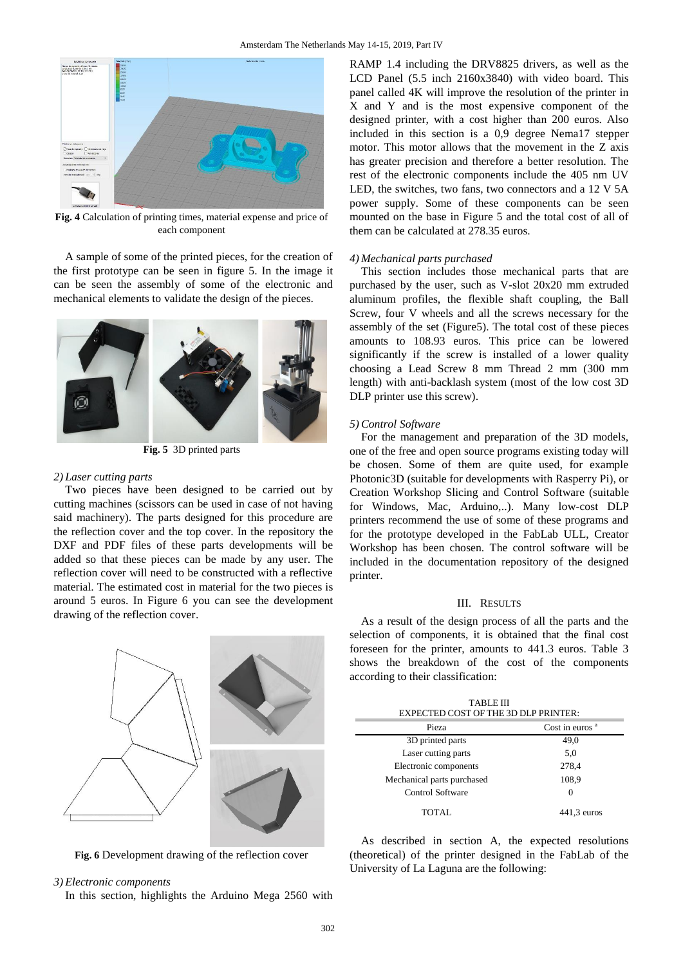

**Fig. 4** Calculation of printing times, material expense and price of each component

A sample of some of the printed pieces, for the creation of the first prototype can be seen in figure 5. In the image it can be seen the assembly of some of the electronic and mechanical elements to validate the design of the pieces.



**Fig. 5** 3D printed parts

# *2) Laser cutting parts*

Two pieces have been designed to be carried out by cutting machines (scissors can be used in case of not having said machinery). The parts designed for this procedure are the reflection cover and the top cover. In the repository the DXF and PDF files of these parts developments will be added so that these pieces can be made by any user. The reflection cover will need to be constructed with a reflective material. The estimated cost in material for the two pieces is around 5 euros. In Figure 6 you can see the development drawing of the reflection cover.

**Fig. 6** Development drawing of the reflection cover

#### *3) Electronic components*

In this section, highlights the Arduino Mega 2560 with

RAMP 1.4 including the DRV8825 drivers, as well as the LCD Panel (5.5 inch 2160x3840) with video board. This panel called 4K will improve the resolution of the printer in X and Y and is the most expensive component of the designed printer, with a cost higher than 200 euros. Also included in this section is a 0,9 degree Nema17 stepper motor. This motor allows that the movement in the Z axis has greater precision and therefore a better resolution. The rest of the electronic components include the 405 nm UV LED, the switches, two fans, two connectors and a 12 V 5A power supply. Some of these components can be seen mounted on the base in Figure 5 and the total cost of all of them can be calculated at 278.35 euros.

### *4) Mechanical parts purchased*

This section includes those mechanical parts that are purchased by the user, such as V-slot 20x20 mm extruded aluminum profiles, the flexible shaft coupling, the Ball Screw, four V wheels and all the screws necessary for the assembly of the set (Figure5). The total cost of these pieces amounts to 108.93 euros. This price can be lowered significantly if the screw is installed of a lower quality choosing a Lead Screw 8 mm Thread 2 mm (300 mm length) with anti-backlash system (most of the low cost 3D DLP printer use this screw).

#### *5) Control Software*

For the management and preparation of the 3D models, one of the free and open source programs existing today will be chosen. Some of them are quite used, for example Photonic3D (suitable for developments with Rasperry Pi), or Creation Workshop Slicing and Control Software (suitable for Windows, Mac, Arduino,..). Many low-cost DLP printers recommend the use of some of these programs and for the prototype developed in the FabLab ULL, Creator Workshop has been chosen. The control software will be included in the documentation repository of the designed printer.

# III. RESULTS

As a result of the design process of all the parts and the selection of components, it is obtained that the final cost foreseen for the printer, amounts to 441.3 euros. Table 3 shows the breakdown of the cost of the components according to their classification:

TABLE III EXPECTED COST OF THE 3D DLP PRINTER:

| Pieza                      | Cost in euros $a$ |
|----------------------------|-------------------|
| 3D printed parts           | 49,0              |
| Laser cutting parts        | 5,0               |
| Electronic components      | 278,4             |
| Mechanical parts purchased | 108,9             |
| <b>Control Software</b>    | $\Omega$          |
| <b>TOTAL</b>               | $441.3$ euros     |

As described in section A, the expected resolutions (theoretical) of the printer designed in the FabLab of the University of La Laguna are the following: